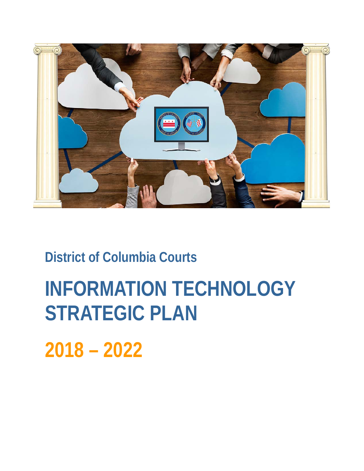

# **District of Columbia Courts**

# **INFORMATION TECHNOLOGY STRATEGIC PLAN**

**2018 – 2022**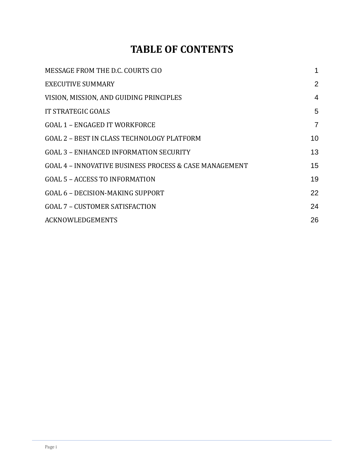# **TABLE OF CONTENTS**

| MESSAGE FROM THE D.C. COURTS CIO                       |                |
|--------------------------------------------------------|----------------|
| <b>EXECUTIVE SUMMARY</b>                               | 2              |
| VISION, MISSION, AND GUIDING PRINCIPLES                | $\overline{4}$ |
| <b>IT STRATEGIC GOALS</b>                              | 5              |
| <b>GOAL 1 - ENGAGED IT WORKFORCE</b>                   | 7              |
| GOAL 2 - BEST IN CLASS TECHNOLOGY PLATFORM             | 10             |
| <b>GOAL 3 - ENHANCED INFORMATION SECURITY</b>          | 13             |
| GOAL 4 - INNOVATIVE BUSINESS PROCESS & CASE MANAGEMENT | 15             |
| <b>GOAL 5 - ACCESS TO INFORMATION</b>                  | 19             |
| <b>GOAL 6 - DECISION-MAKING SUPPORT</b>                | 22             |
| <b>GOAL 7 - CUSTOMER SATISFACTION</b>                  | 24             |
| <b>ACKNOWLEDGEMENTS</b>                                | 26             |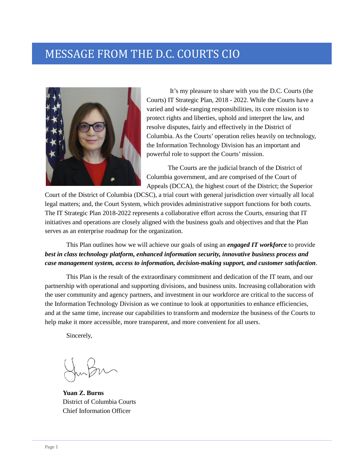# MESSAGE FROM THE D.C. COURTS CIO



It's my pleasure to share with you the D.C. Courts (the Courts) IT Strategic Plan, 2018 - 2022. While the Courts have a varied and wide-ranging responsibilities, its core mission is to protect rights and liberties, uphold and interpret the law, and resolve disputes, fairly and effectively in the District of Columbia. As the Courts' operation relies heavily on technology, the Information Technology Division has an important and powerful role to support the Courts' mission.

The Courts are the judicial branch of the District of Columbia government, and are comprised of the Court of Appeals (DCCA), the highest court of the District; the Superior

Court of the District of Columbia (DCSC), a trial court with general jurisdiction over virtually all local legal matters; and, the Court System, which provides administrative support functions for both courts. The IT Strategic Plan 2018-2022 represents a collaborative effort across the Courts, ensuring that IT initiatives and operations are closely aligned with the business goals and objectives and that the Plan serves as an enterprise roadmap for the organization.

This Plan outlines how we will achieve our goals of using an *engaged IT workforce* to provide *best in class technology platform, enhanced information security, innovative business process and case management system, access to information, decision-making support, and customer satisfaction*.

This Plan is the result of the extraordinary commitment and dedication of the IT team, and our partnership with operational and supporting divisions, and business units. Increasing collaboration with the user community and agency partners, and investment in our workforce are critical to the success of the Information Technology Division as we continue to look at opportunities to enhance efficiencies, and at the same time, increase our capabilities to transform and modernize the business of the Courts to help make it more accessible, more transparent, and more convenient for all users.

Sincerely,

**Yuan Z. Burns** District of Columbia Courts Chief Information Officer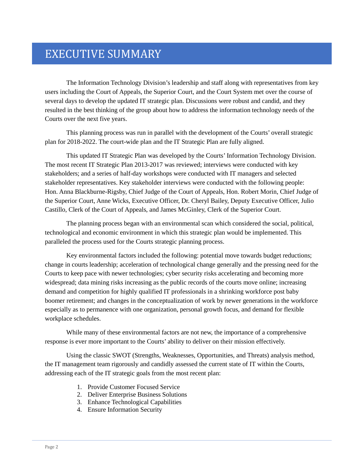# EXECUTIVE SUMMARY

The Information Technology Division's leadership and staff along with representatives from key users including the Court of Appeals, the Superior Court, and the Court System met over the course of several days to develop the updated IT strategic plan. Discussions were robust and candid, and they resulted in the best thinking of the group about how to address the information technology needs of the Courts over the next five years.

This planning process was run in parallel with the development of the Courts' overall strategic plan for 2018-2022. The court-wide plan and the IT Strategic Plan are fully aligned.

This updated IT Strategic Plan was developed by the Courts' Information Technology Division. The most recent IT Strategic Plan 2013-2017 was reviewed; interviews were conducted with key stakeholders; and a series of half-day workshops were conducted with IT managers and selected stakeholder representatives. Key stakeholder interviews were conducted with the following people: Hon. Anna Blackburne-Rigsby, Chief Judge of the Court of Appeals, Hon. Robert Morin, Chief Judge of the Superior Court, Anne Wicks, Executive Officer, Dr. Cheryl Bailey, Deputy Executive Officer, Julio Castillo, Clerk of the Court of Appeals, and James McGinley, Clerk of the Superior Court.

The planning process began with an environmental scan which considered the social, political, technological and economic environment in which this strategic plan would be implemented. This paralleled the process used for the Courts strategic planning process.

Key environmental factors included the following: potential move towards budget reductions; change in courts leadership; acceleration of technological change generally and the pressing need for the Courts to keep pace with newer technologies; cyber security risks accelerating and becoming more widespread; data mining risks increasing as the public records of the courts move online; increasing demand and competition for highly qualified IT professionals in a shrinking workforce post baby boomer retirement; and changes in the conceptualization of work by newer generations in the workforce especially as to permanence with one organization, personal growth focus, and demand for flexible workplace schedules.

While many of these environmental factors are not new, the importance of a comprehensive response is ever more important to the Courts' ability to deliver on their mission effectively.

Using the classic SWOT (Strengths, Weaknesses, Opportunities, and Threats) analysis method, the IT management team rigorously and candidly assessed the current state of IT within the Courts, addressing each of the IT strategic goals from the most recent plan:

- 1. Provide Customer Focused Service
- 2. Deliver Enterprise Business Solutions
- 3. Enhance Technological Capabilities
- 4. Ensure Information Security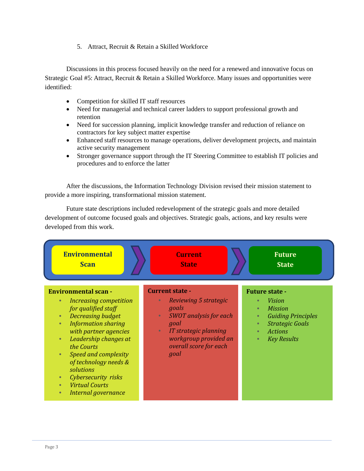5. Attract, Recruit & Retain a Skilled Workforce

Discussions in this process focused heavily on the need for a renewed and innovative focus on Strategic Goal #5: Attract, Recruit & Retain a Skilled Workforce. Many issues and opportunities were identified:

- Competition for skilled IT staff resources
- Need for managerial and technical career ladders to support professional growth and retention
- Need for succession planning, implicit knowledge transfer and reduction of reliance on contractors for key subject matter expertise
- Enhanced staff resources to manage operations, deliver development projects, and maintain active security management
- Stronger governance support through the IT Steering Committee to establish IT policies and procedures and to enforce the latter

After the discussions, the Information Technology Division revised their mission statement to provide a more inspiring, transformational mission statement.

Future state descriptions included redevelopment of the strategic goals and more detailed development of outcome focused goals and objectives. Strategic goals, actions, and key results were developed from this work.

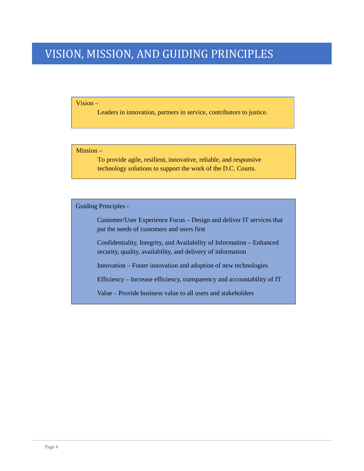# VISION, MISSION, AND GUIDING PRINCIPLES

#### Vision –

Leaders in innovation, partners in service, contributors to justice.

#### Mission –

To provide agile, resilient, innovative, reliable, and responsive technology solutions to support the work of the D.C. Courts.

Guiding Principles -

Customer/User Experience Focus – Design and deliver IT services that put the needs of customers and users first

Confidentiality, Integrity, and Availability of Information – Enhanced security, quality, availability, and delivery of information

Innovation – Foster innovation and adoption of new technologies

Efficiency – Increase efficiency, transparency and accountability of IT

Value – Provide business value to all users and stakeholders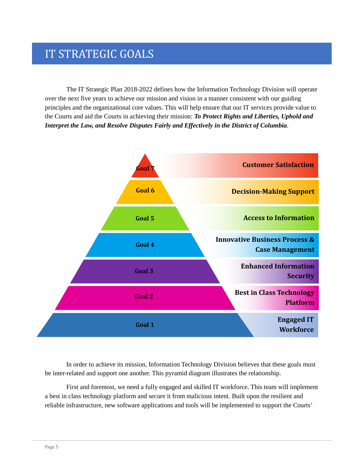# IT STRATEGIC GOALS

The IT Strategic Plan 2018-2022 defines how the Information Technology Division will operate over the next five years to achieve our mission and vision in a manner consistent with our guiding principles and the organizational core values. This will help ensure that our IT services provide value to the Courts and aid the Courts in achieving their mission: *To Protect Rights and Liberties, Uphold and Interpret the Law, and Resolve Disputes Fairly and Effectively in the District of Columbia*.



In order to achieve its mission, Information Technology Division believes that these goals must be inter-related and support one another. This pyramid diagram illustrates the relationship.

First and foremost, we need a fully engaged and skilled IT workforce. This team will implement a best in class technology platform and secure it from malicious intent. Built upon the resilient and reliable infrastructure, new software applications and tools will be implemented to support the Courts'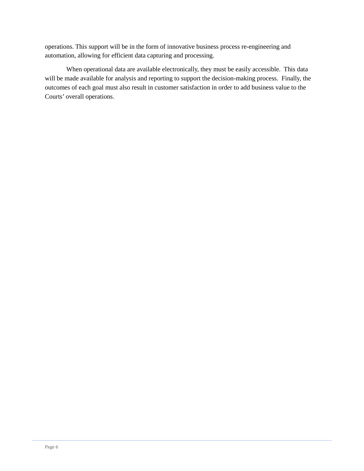operations. This support will be in the form of innovative business process re-engineering and automation, allowing for efficient data capturing and processing.

When operational data are available electronically, they must be easily accessible. This data will be made available for analysis and reporting to support the decision-making process. Finally, the outcomes of each goal must also result in customer satisfaction in order to add business value to the Courts' overall operations.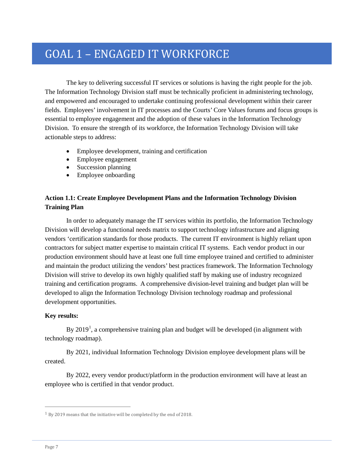# GOAL 1 – ENGAGED IT WORKFORCE

The key to delivering successful IT services or solutions is having the right people for the job. The Information Technology Division staff must be technically proficient in administering technology, and empowered and encouraged to undertake continuing professional development within their career fields. Employees' involvement in IT processes and the Courts' Core Values forums and focus groups is essential to employee engagement and the adoption of these values in the Information Technology Division. To ensure the strength of its workforce, the Information Technology Division will take actionable steps to address:

- Employee development, training and certification
- Employee engagement
- Succession planning
- Employee onboarding

#### **Action 1.1: Create Employee Development Plans and the Information Technology Division Training Plan**

In order to adequately manage the IT services within its portfolio, the Information Technology Division will develop a functional needs matrix to support technology infrastructure and aligning vendors 'certification standards for those products. The current IT environment is highly reliant upon contractors for subject matter expertise to maintain critical IT systems. Each vendor product in our production environment should have at least one full time employee trained and certified to administer and maintain the product utilizing the vendors' best practices framework. The Information Technology Division will strive to develop its own highly qualified staff by making use of industry recognized training and certification programs. A comprehensive division-level training and budget plan will be developed to align the Information Technology Division technology roadmap and professional development opportunities.

#### **Key results:**

By  $2019<sup>1</sup>$  $2019<sup>1</sup>$  $2019<sup>1</sup>$ , a comprehensive training plan and budget will be developed (in alignment with technology roadmap).

By 2021, individual Information Technology Division employee development plans will be created.

By 2022, every vendor product/platform in the production environment will have at least an employee who is certified in that vendor product.

j

<span id="page-8-0"></span><sup>1</sup> By 2019 means that the initiative will be completed by the end of 2018.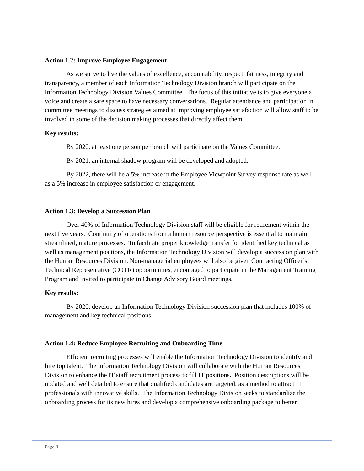#### **Action 1.2: Improve Employee Engagement**

As we strive to live the values of excellence, accountability, respect, fairness, integrity and transparency, a member of each Information Technology Division branch will participate on the Information Technology Division Values Committee. The focus of this initiative is to give everyone a voice and create a safe space to have necessary conversations. Regular attendance and participation in committee meetings to discuss strategies aimed at improving employee satisfaction will allow staff to be involved in some of the decision making processes that directly affect them.

#### **Key results:**

By 2020, at least one person per branch will participate on the Values Committee.

By 2021, an internal shadow program will be developed and adopted.

By 2022, there will be a 5% increase in the Employee Viewpoint Survey response rate as well as a 5% increase in employee satisfaction or engagement.

#### **Action 1.3: Develop a Succession Plan**

Over 40% of Information Technology Division staff will be eligible for retirement within the next five years. Continuity of operations from a human resource perspective is essential to maintain streamlined, mature processes. To facilitate proper knowledge transfer for identified key technical as well as management positions, the Information Technology Division will develop a succession plan with the Human Resources Division. Non-managerial employees will also be given Contracting Officer's Technical Representative (COTR) opportunities, encouraged to participate in the Management Training Program and invited to participate in Change Advisory Board meetings.

#### **Key results:**

By 2020, develop an Information Technology Division succession plan that includes 100% of management and key technical positions.

#### **Action 1.4: Reduce Employee Recruiting and Onboarding Time**

Efficient recruiting processes will enable the Information Technology Division to identify and hire top talent. The Information Technology Division will collaborate with the Human Resources Division to enhance the IT staff recruitment process to fill IT positions. Position descriptions will be updated and well detailed to ensure that qualified candidates are targeted, as a method to attract IT professionals with innovative skills. The Information Technology Division seeks to standardize the onboarding process for its new hires and develop a comprehensive onboarding package to better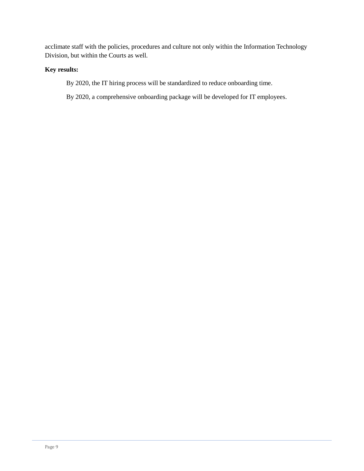acclimate staff with the policies, procedures and culture not only within the Information Technology Division, but within the Courts as well.

#### **Key results:**

- By 2020, the IT hiring process will be standardized to reduce onboarding time.
- By 2020, a comprehensive onboarding package will be developed for IT employees.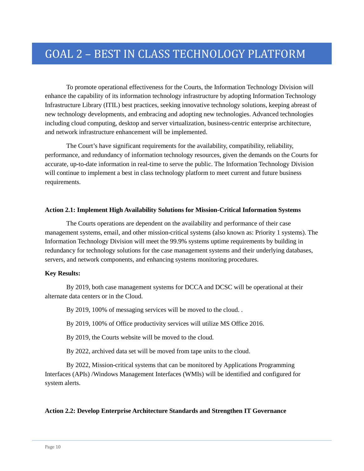# GOAL 2 – BEST IN CLASS TECHNOLOGY PLATFORM

To promote operational effectiveness for the Courts, the Information Technology Division will enhance the capability of its information technology infrastructure by adopting Information Technology Infrastructure Library (ITIL) best practices, seeking innovative technology solutions, keeping abreast of new technology developments, and embracing and adopting new technologies. Advanced technologies including cloud computing, desktop and server virtualization, business-centric enterprise architecture, and network infrastructure enhancement will be implemented.

The Court's have significant requirements for the availability, compatibility, reliability, performance, and redundancy of information technology resources, given the demands on the Courts for accurate, up-to-date information in real-time to serve the public. The Information Technology Division will continue to implement a best in class technology platform to meet current and future business requirements.

#### **Action 2.1: Implement High Availability Solutions for Mission-Critical Information Systems**

The Courts operations are dependent on the availability and performance of their case management systems, email, and other mission-critical systems (also known as: Priority 1 systems). The Information Technology Division will meet the 99.9% systems uptime requirements by building in redundancy for technology solutions for the case management systems and their underlying databases, servers, and network components, and enhancing systems monitoring procedures.

#### **Key Results:**

By 2019, both case management systems for DCCA and DCSC will be operational at their alternate data centers or in the Cloud.

By 2019, 100% of messaging services will be moved to the cloud. .

By 2019, 100% of Office productivity services will utilize MS Office 2016.

By 2019, the Courts website will be moved to the cloud.

By 2022, archived data set will be moved from tape units to the cloud.

By 2022, Mission-critical systems that can be monitored by Applications Programming Interfaces (APIs) /Windows Management Interfaces (WMIs) will be identified and configured for system alerts.

#### **Action 2.2: Develop Enterprise Architecture Standards and Strengthen IT Governance**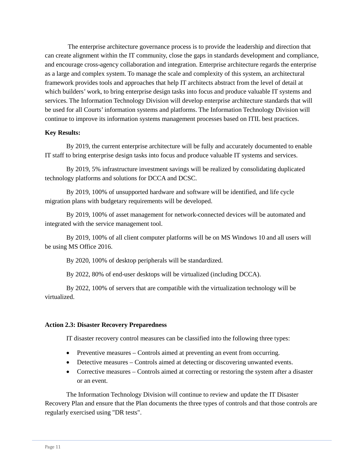The enterprise architecture governance process is to provide the leadership and direction that can create alignment within the IT community, close the gaps in standards development and compliance, and encourage cross-agency collaboration and integration. Enterprise architecture regards the enterprise as a large and complex system. To manage the scale and complexity of this system, an architectural framework provides tools and approaches that help IT architects abstract from the level of detail at which builders' work, to bring enterprise design tasks into focus and produce valuable IT systems and services. The Information Technology Division will develop enterprise architecture standards that will be used for all Courts' information systems and platforms. The Information Technology Division will continue to improve its information systems management processes based on ITIL best practices.

#### **Key Results:**

By 2019, the current enterprise architecture will be fully and accurately documented to enable IT staff to bring enterprise design tasks into focus and produce valuable IT systems and services.

By 2019, 5% infrastructure investment savings will be realized by consolidating duplicated technology platforms and solutions for DCCA and DCSC.

By 2019, 100% of unsupported hardware and software will be identified, and life cycle migration plans with budgetary requirements will be developed.

By 2019, 100% of asset management for network-connected devices will be automated and integrated with the service management tool.

By 2019, 100% of all client computer platforms will be on MS Windows 10 and all users will be using MS Office 2016.

By 2020, 100% of desktop peripherals will be standardized.

By 2022, 80% of end-user desktops will be virtualized (including DCCA).

By 2022, 100% of servers that are compatible with the virtualization technology will be virtualized.

#### **Action 2.3: Disaster Recovery Preparedness**

IT disaster recovery control measures can be classified into the following three types:

- Preventive measures Controls aimed at preventing an event from occurring.
- Detective measures Controls aimed at detecting or discovering unwanted events.
- Corrective measures Controls aimed at correcting or restoring the system after a disaster or an event.

The Information Technology Division will continue to review and update the IT Disaster Recovery Plan and ensure that the Plan documents the three types of controls and that those controls are regularly exercised using "DR tests".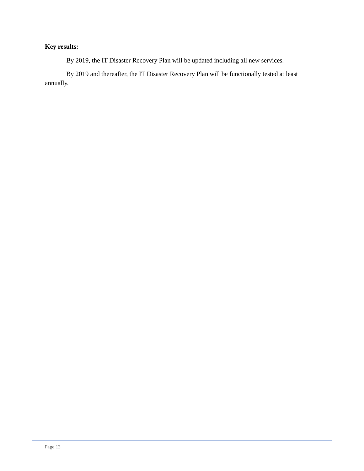#### **Key results:**

By 2019, the IT Disaster Recovery Plan will be updated including all new services.

By 2019 and thereafter, the IT Disaster Recovery Plan will be functionally tested at least annually.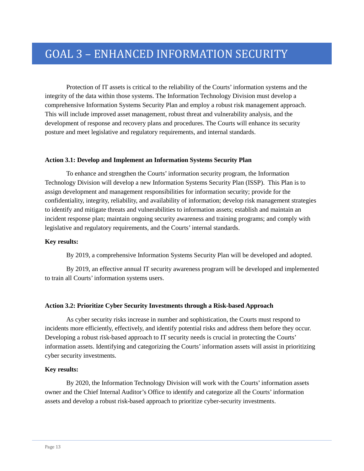# GOAL 3 – ENHANCED INFORMATION SECURITY

Protection of IT assets is critical to the reliability of the Courts' information systems and the integrity of the data within those systems. The Information Technology Division must develop a comprehensive Information Systems Security Plan and employ a robust risk management approach. This will include improved asset management, robust threat and vulnerability analysis, and the development of response and recovery plans and procedures. The Courts will enhance its security posture and meet legislative and regulatory requirements, and internal standards.

#### **Action 3.1: Develop and Implement an Information Systems Security Plan**

To enhance and strengthen the Courts' information security program, the Information Technology Division will develop a new Information Systems Security Plan (ISSP). This Plan is to assign development and management responsibilities for information security; provide for the confidentiality, integrity, reliability, and availability of information; develop risk management strategies to identify and mitigate threats and vulnerabilities to information assets; establish and maintain an incident response plan; maintain ongoing security awareness and training programs; and comply with legislative and regulatory requirements, and the Courts' internal standards.

#### **Key results:**

By 2019, a comprehensive Information Systems Security Plan will be developed and adopted.

By 2019, an effective annual IT security awareness program will be developed and implemented to train all Courts' information systems users.

#### **Action 3.2: Prioritize Cyber Security Investments through a Risk-based Approach**

As cyber security risks increase in number and sophistication, the Courts must respond to incidents more efficiently, effectively, and identify potential risks and address them before they occur. Developing a robust risk-based approach to IT security needs is crucial in protecting the Courts' information assets. Identifying and categorizing the Courts' information assets will assist in prioritizing cyber security investments.

#### **Key results:**

By 2020, the Information Technology Division will work with the Courts' information assets owner and the Chief Internal Auditor's Office to identify and categorize all the Courts' information assets and develop a robust risk-based approach to prioritize cyber-security investments.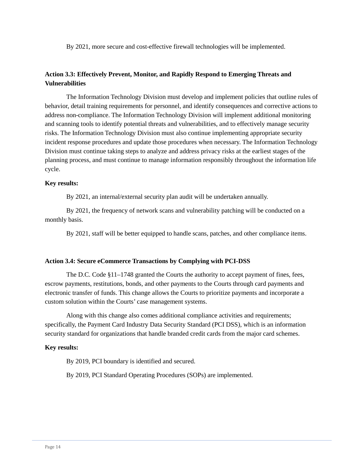By 2021, more secure and cost-effective firewall technologies will be implemented.

#### **Action 3.3: Effectively Prevent, Monitor, and Rapidly Respond to Emerging Threats and Vulnerabilities**

The Information Technology Division must develop and implement policies that outline rules of behavior, detail training requirements for personnel, and identify consequences and corrective actions to address non-compliance. The Information Technology Division will implement additional monitoring and scanning tools to identify potential threats and vulnerabilities, and to effectively manage security risks. The Information Technology Division must also continue implementing appropriate security incident response procedures and update those procedures when necessary. The Information Technology Division must continue taking steps to analyze and address privacy risks at the earliest stages of the planning process, and must continue to manage information responsibly throughout the information life cycle.

#### **Key results:**

By 2021, an internal/external security plan audit will be undertaken annually.

By 2021, the frequency of network scans and vulnerability patching will be conducted on a monthly basis.

By 2021, staff will be better equipped to handle scans, patches, and other compliance items.

#### **Action 3.4: Secure eCommerce Transactions by Complying with PCI-DSS**

The D.C. Code §11–1748 granted the Courts the authority to accept payment of fines, fees, escrow payments, restitutions, bonds, and other payments to the Courts through card payments and electronic transfer of funds. This change allows the Courts to prioritize payments and incorporate a custom solution within the Courts' case management systems.

Along with this change also comes additional compliance activities and requirements; specifically, the Payment Card Industry Data Security Standard (PCI DSS), which is an information security standard for organizations that handle branded credit cards from the major card schemes.

#### **Key results:**

By 2019, PCI boundary is identified and secured.

By 2019, PCI Standard Operating Procedures (SOPs) are implemented.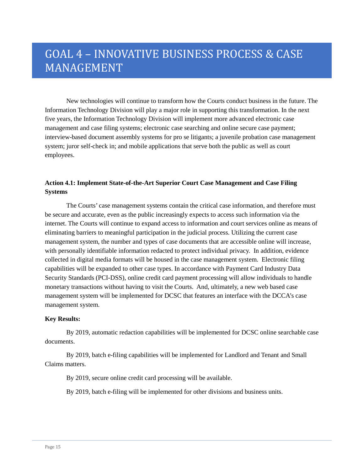# GOAL 4 – INNOVATIVE BUSINESS PROCESS & CASE MANAGEMENT

New technologies will continue to transform how the Courts conduct business in the future. The Information Technology Division will play a major role in supporting this transformation. In the next five years, the Information Technology Division will implement more advanced electronic case management and case filing systems; electronic case searching and online secure case payment; interview-based document assembly systems for pro se litigants; a juvenile probation case management system; juror self-check in; and mobile applications that serve both the public as well as court employees.

#### **Action 4.1: Implement State-of-the-Art Superior Court Case Management and Case Filing Systems**

The Courts' case management systems contain the critical case information, and therefore must be secure and accurate, even as the public increasingly expects to access such information via the internet. The Courts will continue to expand access to information and court services online as means of eliminating barriers to meaningful participation in the judicial process. Utilizing the current case management system, the number and types of case documents that are accessible online will increase, with personally identifiable information redacted to protect individual privacy. In addition, evidence collected in digital media formats will be housed in the case management system. Electronic filing capabilities will be expanded to other case types. In accordance with Payment Card Industry Data Security Standards (PCI-DSS), online credit card payment processing will allow individuals to handle monetary transactions without having to visit the Courts. And, ultimately, a new web based case management system will be implemented for DCSC that features an interface with the DCCA's case management system.

#### **Key Results:**

By 2019, automatic redaction capabilities will be implemented for DCSC online searchable case documents.

By 2019, batch e-filing capabilities will be implemented for Landlord and Tenant and Small Claims matters.

By 2019, secure online credit card processing will be available.

By 2019, batch e-filing will be implemented for other divisions and business units.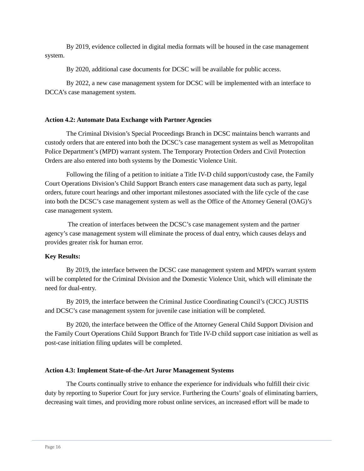By 2019, evidence collected in digital media formats will be housed in the case management system.

By 2020, additional case documents for DCSC will be available for public access.

By 2022, a new case management system for DCSC will be implemented with an interface to DCCA's case management system.

#### **Action 4.2: Automate Data Exchange with Partner Agencies**

The Criminal Division's Special Proceedings Branch in DCSC maintains bench warrants and custody orders that are entered into both the DCSC's case management system as well as Metropolitan Police Department's (MPD) warrant system. The Temporary Protection Orders and Civil Protection Orders are also entered into both systems by the Domestic Violence Unit.

Following the filing of a petition to initiate a Title IV-D child support/custody case, the Family Court Operations Division's Child Support Branch enters case management data such as party, legal orders, future court hearings and other important milestones associated with the life cycle of the case into both the DCSC's case management system as well as the Office of the Attorney General (OAG)'s case management system.

The creation of interfaces between the DCSC's case management system and the partner agency's case management system will eliminate the process of dual entry, which causes delays and provides greater risk for human error.

#### **Key Results:**

By 2019, the interface between the DCSC case management system and MPD's warrant system will be completed for the Criminal Division and the Domestic Violence Unit, which will eliminate the need for dual-entry.

By 2019, the interface between the Criminal Justice Coordinating Council's (CJCC) JUSTIS and DCSC's case management system for juvenile case initiation will be completed.

By 2020, the interface between the Office of the Attorney General Child Support Division and the Family Court Operations Child Support Branch for Title IV-D child support case initiation as well as post-case initiation filing updates will be completed.

#### **Action 4.3: Implement State-of-the-Art Juror Management Systems**

The Courts continually strive to enhance the experience for individuals who fulfill their civic duty by reporting to Superior Court for jury service. Furthering the Courts' goals of eliminating barriers, decreasing wait times, and providing more robust online services, an increased effort will be made to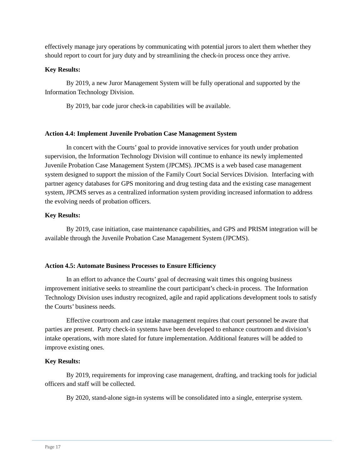effectively manage jury operations by communicating with potential jurors to alert them whether they should report to court for jury duty and by streamlining the check-in process once they arrive.

#### **Key Results:**

By 2019, a new Juror Management System will be fully operational and supported by the Information Technology Division.

By 2019, bar code juror check-in capabilities will be available.

#### **Action 4.4: Implement Juvenile Probation Case Management System**

In concert with the Courts' goal to provide innovative services for youth under probation supervision, the Information Technology Division will continue to enhance its newly implemented Juvenile Probation Case Management System (JPCMS). JPCMS is a web based case management system designed to support the mission of the Family Court Social Services Division. Interfacing with partner agency databases for GPS monitoring and drug testing data and the existing case management system, JPCMS serves as a centralized information system providing increased information to address the evolving needs of probation officers.

#### **Key Results:**

By 2019, case initiation, case maintenance capabilities, and GPS and PRISM integration will be available through the Juvenile Probation Case Management System (JPCMS).

#### **Action 4.5: Automate Business Processes to Ensure Efficiency**

In an effort to advance the Courts' goal of decreasing wait times this ongoing business improvement initiative seeks to streamline the court participant's check-in process. The Information Technology Division uses industry recognized, agile and rapid applications development tools to satisfy the Courts' business needs.

Effective courtroom and case intake management requires that court personnel be aware that parties are present. Party check-in systems have been developed to enhance courtroom and division's intake operations, with more slated for future implementation. Additional features will be added to improve existing ones.

#### **Key Results:**

By 2019, requirements for improving case management, drafting, and tracking tools for judicial officers and staff will be collected.

By 2020, stand-alone sign-in systems will be consolidated into a single, enterprise system.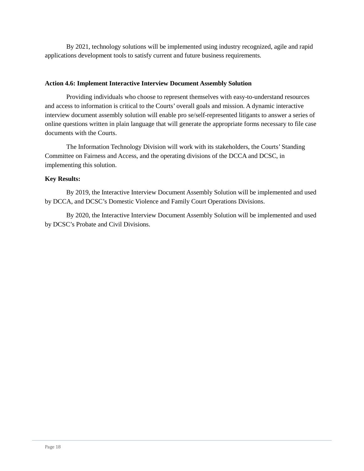By 2021, technology solutions will be implemented using industry recognized, agile and rapid applications development tools to satisfy current and future business requirements.

#### **Action 4.6: Implement Interactive Interview Document Assembly Solution**

Providing individuals who choose to represent themselves with easy-to-understand resources and access to information is critical to the Courts' overall goals and mission. A dynamic interactive interview document assembly solution will enable pro se/self-represented litigants to answer a series of online questions written in plain language that will generate the appropriate forms necessary to file case documents with the Courts.

The Information Technology Division will work with its stakeholders, the Courts' Standing Committee on Fairness and Access, and the operating divisions of the DCCA and DCSC, in implementing this solution.

#### **Key Results:**

By 2019, the Interactive Interview Document Assembly Solution will be implemented and used by DCCA, and DCSC's Domestic Violence and Family Court Operations Divisions.

By 2020, the Interactive Interview Document Assembly Solution will be implemented and used by DCSC's Probate and Civil Divisions.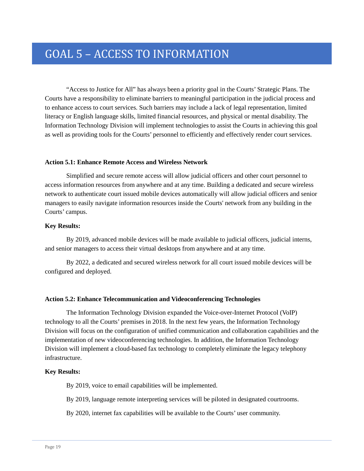# GOAL 5 – ACCESS TO INFORMATION

"Access to Justice for All" has always been a priority goal in the Courts' Strategic Plans. The Courts have a responsibility to eliminate barriers to meaningful participation in the judicial process and to enhance access to court services. Such barriers may include a lack of legal representation, limited literacy or English language skills, limited financial resources, and physical or mental disability. The Information Technology Division will implement technologies to assist the Courts in achieving this goal as well as providing tools for the Courts' personnel to efficiently and effectively render court services.

#### **Action 5.1: Enhance Remote Access and Wireless Network**

Simplified and secure remote access will allow judicial officers and other court personnel to access information resources from anywhere and at any time. Building a dedicated and secure wireless network to authenticate court issued mobile devices automatically will allow judicial officers and senior managers to easily navigate information resources inside the Courts' network from any building in the Courts' campus.

#### **Key Results:**

By 2019, advanced mobile devices will be made available to judicial officers, judicial interns, and senior managers to access their virtual desktops from anywhere and at any time.

By 2022, a dedicated and secured wireless network for all court issued mobile devices will be configured and deployed.

#### **Action 5.2: Enhance Telecommunication and Videoconferencing Technologies**

The Information Technology Division expanded the Voice-over-Internet Protocol (VoIP) technology to all the Courts' premises in 2018. In the next few years, the Information Technology Division will focus on the configuration of unified communication and collaboration capabilities and the implementation of new videoconferencing technologies. In addition, the Information Technology Division will implement a cloud-based fax technology to completely eliminate the legacy telephony infrastructure.

#### **Key Results:**

By 2019, voice to email capabilities will be implemented.

By 2019, language remote interpreting services will be piloted in designated courtrooms.

By 2020, internet fax capabilities will be available to the Courts' user community.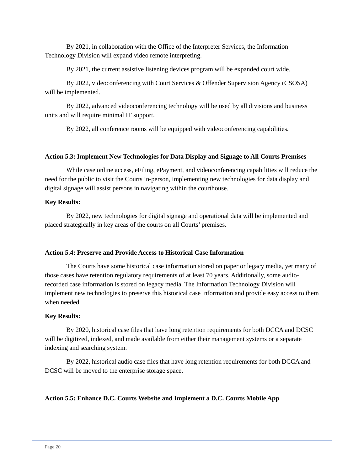By 2021, in collaboration with the Office of the Interpreter Services, the Information Technology Division will expand video remote interpreting.

By 2021, the current assistive listening devices program will be expanded court wide.

By 2022, videoconferencing with Court Services & Offender Supervision Agency (CSOSA) will be implemented.

By 2022, advanced videoconferencing technology will be used by all divisions and business units and will require minimal IT support.

By 2022, all conference rooms will be equipped with videoconferencing capabilities.

#### **Action 5.3: Implement New Technologies for Data Display and Signage to All Courts Premises**

While case online access, eFiling, ePayment, and videoconferencing capabilities will reduce the need for the public to visit the Courts in-person, implementing new technologies for data display and digital signage will assist persons in navigating within the courthouse.

#### **Key Results:**

By 2022, new technologies for digital signage and operational data will be implemented and placed strategically in key areas of the courts on all Courts' premises.

#### **Action 5.4: Preserve and Provide Access to Historical Case Information**

The Courts have some historical case information stored on paper or legacy media, yet many of those cases have retention regulatory requirements of at least 70 years. Additionally, some audiorecorded case information is stored on legacy media. The Information Technology Division will implement new technologies to preserve this historical case information and provide easy access to them when needed.

#### **Key Results:**

By 2020, historical case files that have long retention requirements for both DCCA and DCSC will be digitized, indexed, and made available from either their management systems or a separate indexing and searching system.

By 2022, historical audio case files that have long retention requirements for both DCCA and DCSC will be moved to the enterprise storage space.

#### **Action 5.5: Enhance D.C. Courts Website and Implement a D.C. Courts Mobile App**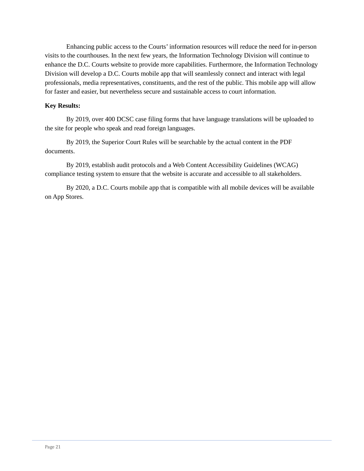Enhancing public access to the Courts' information resources will reduce the need for in-person visits to the courthouses. In the next few years, the Information Technology Division will continue to enhance the D.C. Courts website to provide more capabilities. Furthermore, the Information Technology Division will develop a D.C. Courts mobile app that will seamlessly connect and interact with legal professionals, media representatives, constituents, and the rest of the public. This mobile app will allow for faster and easier, but nevertheless secure and sustainable access to court information.

#### **Key Results:**

By 2019, over 400 DCSC case filing forms that have language translations will be uploaded to the site for people who speak and read foreign languages.

By 2019, the Superior Court Rules will be searchable by the actual content in the PDF documents.

By 2019, establish audit protocols and a Web Content Accessibility Guidelines (WCAG) compliance testing system to ensure that the website is accurate and accessible to all stakeholders.

By 2020, a D.C. Courts mobile app that is compatible with all mobile devices will be available on App Stores.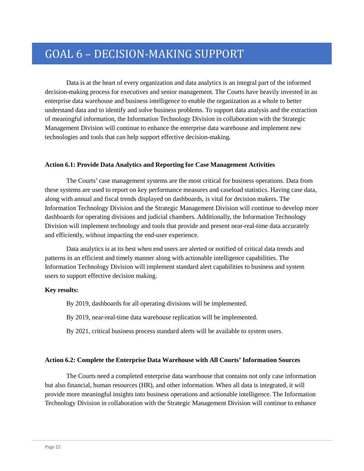# GOAL 6 – DECISION-MAKING SUPPORT

Data is at the heart of every organization and data analytics is an integral part of the informed decision-making process for executives and senior management. The Courts have heavily invested in an enterprise data warehouse and business intelligence to enable the organization as a whole to better understand data and to identify and solve business problems. To support data analysis and the extraction of meaningful information, the Information Technology Division in collaboration with the Strategic Management Division will continue to enhance the enterprise data warehouse and implement new technologies and tools that can help support effective decision-making.

#### **Action 6.1: Provide Data Analytics and Reporting for Case Management Activities**

The Courts' case management systems are the most critical for business operations. Data from these systems are used to report on key performance measures and caseload statistics. Having case data, along with annual and fiscal trends displayed on dashboards, is vital for decision makers. The Information Technology Division and the Strategic Management Division will continue to develop more dashboards for operating divisions and judicial chambers. Additionally, the Information Technology Division will implement technology and tools that provide and present near-real-time data accurately and efficiently, without impacting the end-user experience.

Data analytics is at its best when end users are alerted or notified of critical data trends and patterns in an efficient and timely manner along with actionable intelligence capabilities. The Information Technology Division will implement standard alert capabilities to business and system users to support effective decision making.

#### **Key results:**

By 2019, dashboards for all operating divisions will be implemented.

By 2019, near-real-time data warehouse replication will be implemented.

By 2021, critical business process standard alerts will be available to system users.

#### **Action 6.2: Complete the Enterprise Data Warehouse with All Courts' Information Sources**

The Courts need a completed enterprise data warehouse that contains not only case information but also financial, human resources (HR), and other information. When all data is integrated, it will provide more meaningful insights into business operations and actionable intelligence. The Information Technology Division in collaboration with the Strategic Management Division will continue to enhance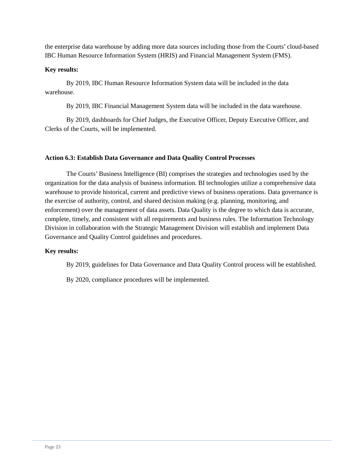the enterprise data warehouse by adding more data sources including those from the Courts' cloud-based IBC Human Resource Information System (HRIS) and Financial Management System (FMS).

#### **Key results:**

By 2019, IBC Human Resource Information System data will be included in the data warehouse.

By 2019, IBC Financial Management System data will be included in the data warehouse.

By 2019, dashboards for Chief Judges, the Executive Officer, Deputy Executive Officer, and Clerks of the Courts, will be implemented.

#### **Action 6.3: Establish Data Governance and Data Quality Control Processes**

The Courts' Business Intelligence (BI) comprises the strategies and technologies used by the organization for the data analysis of business information. BI technologies utilize a comprehensive data warehouse to provide historical, current and predictive views of business operations. Data governance is the exercise of authority, control, and shared decision making (e.g. planning, monitoring, and enforcement) over the management of data assets. Data Quality is the degree to which data is accurate, complete, timely, and consistent with all requirements and business rules. The Information Technology Division in collaboration with the Strategic Management Division will establish and implement Data Governance and Quality Control guidelines and procedures.

#### **Key results:**

By 2019, guidelines for Data Governance and Data Quality Control process will be established.

By 2020, compliance procedures will be implemented.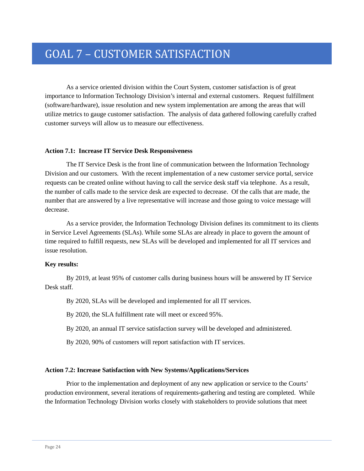# GOAL 7 – CUSTOMER SATISFACTION

As a service oriented division within the Court System, customer satisfaction is of great importance to Information Technology Division's internal and external customers. Request fulfillment (software/hardware), issue resolution and new system implementation are among the areas that will utilize metrics to gauge customer satisfaction. The analysis of data gathered following carefully crafted customer surveys will allow us to measure our effectiveness.

#### **Action 7.1: Increase IT Service Desk Responsiveness**

The IT Service Desk is the front line of communication between the Information Technology Division and our customers. With the recent implementation of a new customer service portal, service requests can be created online without having to call the service desk staff via telephone. As a result, the number of calls made to the service desk are expected to decrease. Of the calls that are made, the number that are answered by a live representative will increase and those going to voice message will decrease.

As a service provider, the Information Technology Division defines its commitment to its clients in Service Level Agreements (SLAs). While some SLAs are already in place to govern the amount of time required to fulfill requests, new SLAs will be developed and implemented for all IT services and issue resolution.

#### **Key results:**

By 2019, at least 95% of customer calls during business hours will be answered by IT Service Desk staff.

By 2020, SLAs will be developed and implemented for all IT services.

By 2020, the SLA fulfillment rate will meet or exceed 95%.

By 2020, an annual IT service satisfaction survey will be developed and administered.

By 2020, 90% of customers will report satisfaction with IT services.

#### **Action 7.2: Increase Satisfaction with New Systems/Applications/Services**

Prior to the implementation and deployment of any new application or service to the Courts' production environment, several iterations of requirements-gathering and testing are completed. While the Information Technology Division works closely with stakeholders to provide solutions that meet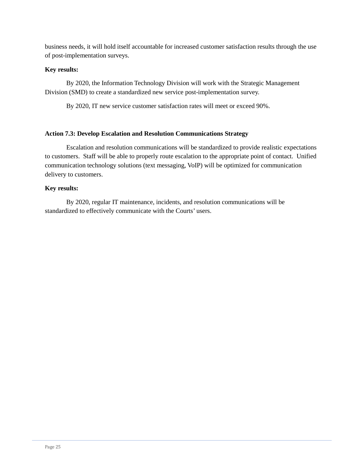business needs, it will hold itself accountable for increased customer satisfaction results through the use of post-implementation surveys.

#### **Key results:**

By 2020, the Information Technology Division will work with the Strategic Management Division (SMD) to create a standardized new service post-implementation survey.

By 2020, IT new service customer satisfaction rates will meet or exceed 90%.

#### **Action 7.3: Develop Escalation and Resolution Communications Strategy**

Escalation and resolution communications will be standardized to provide realistic expectations to customers. Staff will be able to properly route escalation to the appropriate point of contact. Unified communication technology solutions (text messaging, VoIP) will be optimized for communication delivery to customers.

#### **Key results:**

By 2020, regular IT maintenance, incidents, and resolution communications will be standardized to effectively communicate with the Courts' users.